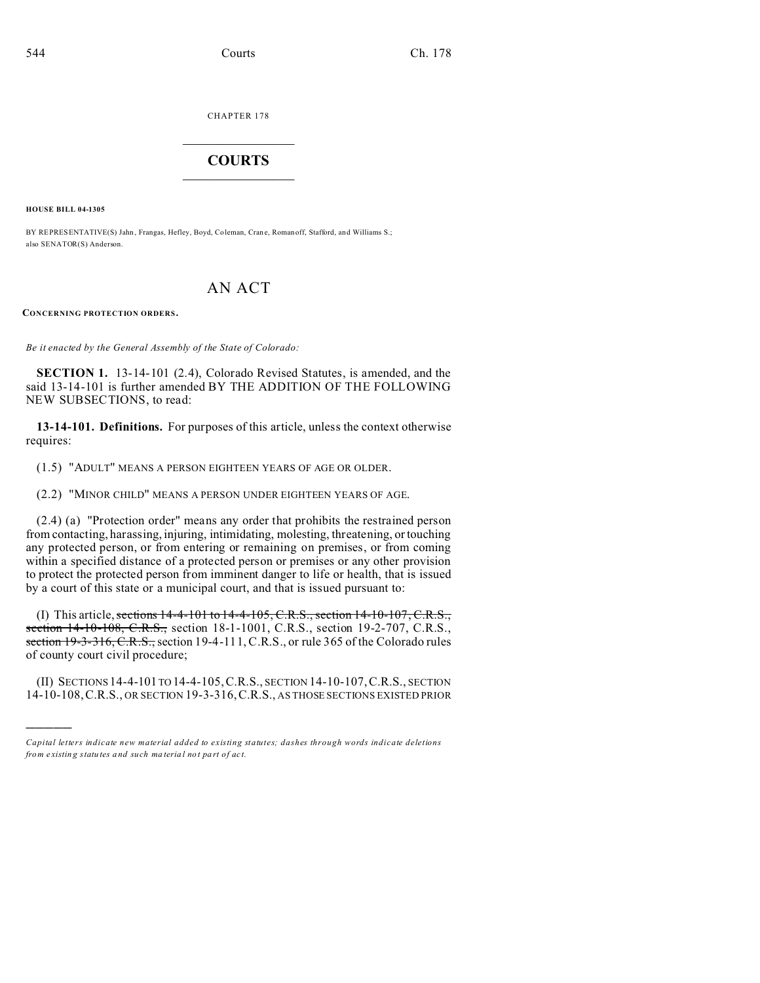CHAPTER 178  $\overline{\phantom{a}}$  , where  $\overline{\phantom{a}}$ 

## **COURTS**  $\_$

**HOUSE BILL 04-1305**

)))))

BY REPRESENTATIVE(S) Jahn, Frangas, Hefley, Boyd, Coleman, Crane, Romanoff, Stafford, and Williams S.; also SENATOR(S) Anderson.

# AN ACT

**CONCERNING PROTECTION ORDERS.**

*Be it enacted by the General Assembly of the State of Colorado:*

**SECTION 1.** 13-14-101 (2.4), Colorado Revised Statutes, is amended, and the said 13-14-101 is further amended BY THE ADDITION OF THE FOLLOWING NEW SUBSECTIONS, to read:

**13-14-101. Definitions.** For purposes of this article, unless the context otherwise requires:

(1.5) "ADULT" MEANS A PERSON EIGHTEEN YEARS OF AGE OR OLDER.

(2.2) "MINOR CHILD" MEANS A PERSON UNDER EIGHTEEN YEARS OF AGE.

(2.4) (a) "Protection order" means any order that prohibits the restrained person from contacting, harassing, injuring, intimidating, molesting, threatening, or touching any protected person, or from entering or remaining on premises, or from coming within a specified distance of a protected person or premises or any other provision to protect the protected person from imminent danger to life or health, that is issued by a court of this state or a municipal court, and that is issued pursuant to:

(I) This article, sections  $14-4-101$  to  $14-4-105$ , C.R.S., section  $14-10-107$ , C.R.S., section 14-10-108, C.R.S., section 18-1-1001, C.R.S., section 19-2-707, C.R.S., section 19-3-316, C.R.S., section 19-4-111, C.R.S., or rule 365 of the Colorado rules of county court civil procedure;

(II) SECTIONS 14-4-101 TO 14-4-105,C.R.S., SECTION 14-10-107,C.R.S., SECTION 14-10-108,C.R.S., OR SECTION 19-3-316,C.R.S., AS THOSE SECTIONS EXISTED PRIOR

*Capital letters indicate new material added to existing statutes; dashes through words indicate deletions from e xistin g statu tes a nd such ma teria l no t pa rt of ac t.*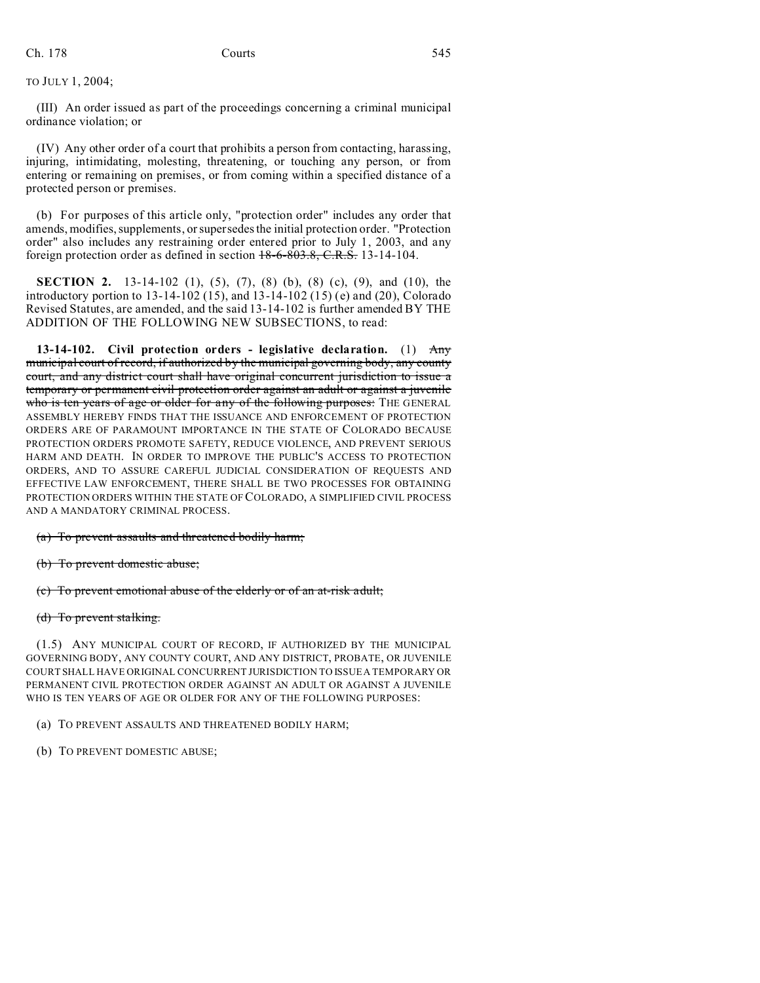TO JULY 1, 2004;

(III) An order issued as part of the proceedings concerning a criminal municipal ordinance violation; or

(IV) Any other order of a court that prohibits a person from contacting, harassing, injuring, intimidating, molesting, threatening, or touching any person, or from entering or remaining on premises, or from coming within a specified distance of a protected person or premises.

(b) For purposes of this article only, "protection order" includes any order that amends, modifies, supplements, or supersedes the initial protection order. "Protection order" also includes any restraining order entered prior to July 1, 2003, and any foreign protection order as defined in section 18-6-803.8, C.R.S. 13-14-104.

**SECTION 2.** 13-14-102 (1), (5), (7), (8) (b), (8) (c), (9), and (10), the introductory portion to 13-14-102 (15), and 13-14-102 (15) (e) and (20), Colorado Revised Statutes, are amended, and the said 13-14-102 is further amended BY THE ADDITION OF THE FOLLOWING NEW SUBSECTIONS, to read:

**13-14-102. Civil protection orders - legislative declaration.** (1) Any municipal court of record, if authorized by the municipal governing body, any county court, and any district court shall have original concurrent jurisdiction to issue a temporary or permanent civil protection order against an adult or against a juvenile who is ten years of age or older for any of the following purposes: THE GENERAL ASSEMBLY HEREBY FINDS THAT THE ISSUANCE AND ENFORCEMENT OF PROTECTION ORDERS ARE OF PARAMOUNT IMPORTANCE IN THE STATE OF COLORADO BECAUSE PROTECTION ORDERS PROMOTE SAFETY, REDUCE VIOLENCE, AND PREVENT SERIOUS HARM AND DEATH. IN ORDER TO IMPROVE THE PUBLIC'S ACCESS TO PROTECTION ORDERS, AND TO ASSURE CAREFUL JUDICIAL CONSIDERATION OF REQUESTS AND EFFECTIVE LAW ENFORCEMENT, THERE SHALL BE TWO PROCESSES FOR OBTAINING PROTECTION ORDERS WITHIN THE STATE OF COLORADO, A SIMPLIFIED CIVIL PROCESS AND A MANDATORY CRIMINAL PROCESS.

(a) To prevent assaults and threatened bodily harm;

(b) To prevent domestic abuse;

(c) To prevent emotional abuse of the elderly or of an at-risk adult;

(d) To prevent stalking.

(1.5) ANY MUNICIPAL COURT OF RECORD, IF AUTHORIZED BY THE MUNICIPAL GOVERNING BODY, ANY COUNTY COURT, AND ANY DISTRICT, PROBATE, OR JUVENILE COURT SHALL HAVE ORIGINAL CONCURRENT JURISDICTION TO ISSUE A TEMPORARY OR PERMANENT CIVIL PROTECTION ORDER AGAINST AN ADULT OR AGAINST A JUVENILE WHO IS TEN YEARS OF AGE OR OLDER FOR ANY OF THE FOLLOWING PURPOSES:

- (a) TO PREVENT ASSAULTS AND THREATENED BODILY HARM;
- (b) TO PREVENT DOMESTIC ABUSE;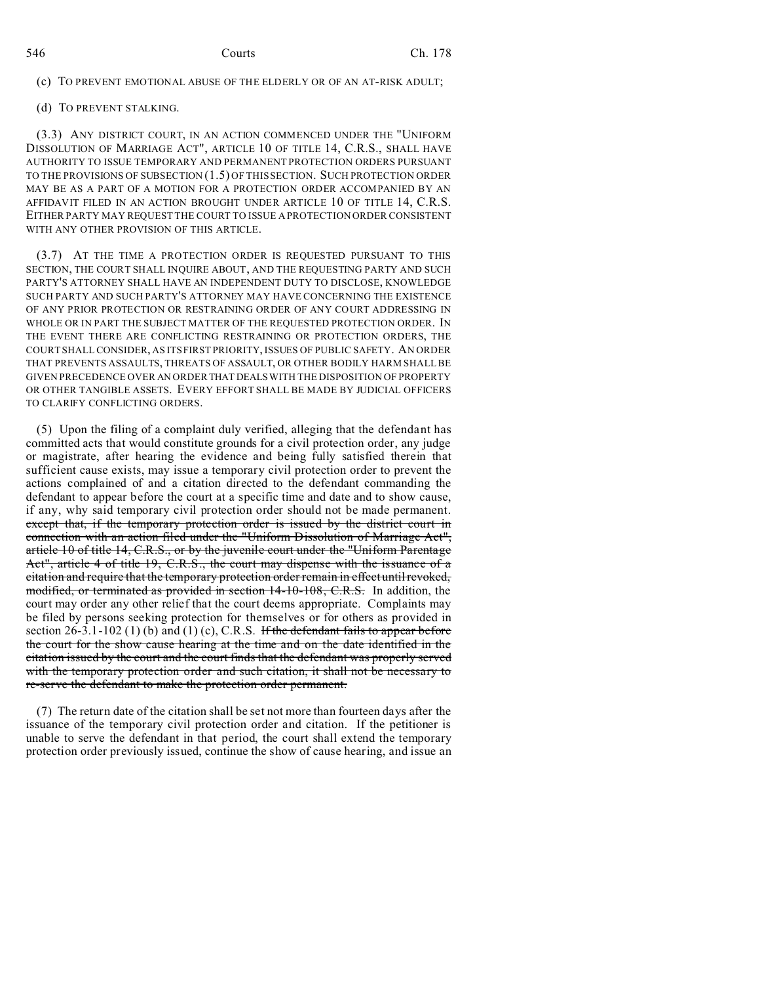(c) TO PREVENT EMOTIONAL ABUSE OF THE ELDERLY OR OF AN AT-RISK ADULT;

(d) TO PREVENT STALKING.

(3.3) ANY DISTRICT COURT, IN AN ACTION COMMENCED UNDER THE "UNIFORM DISSOLUTION OF MARRIAGE ACT", ARTICLE 10 OF TITLE 14, C.R.S., SHALL HAVE AUTHORITY TO ISSUE TEMPORARY AND PERMANENT PROTECTION ORDERS PURSUANT TO THE PROVISIONS OF SUBSECTION (1.5) OF THIS SECTION. SUCH PROTECTION ORDER MAY BE AS A PART OF A MOTION FOR A PROTECTION ORDER ACCOMPANIED BY AN AFFIDAVIT FILED IN AN ACTION BROUGHT UNDER ARTICLE 10 OF TITLE 14, C.R.S. EITHER PARTY MAY REQUEST THE COURT TO ISSUE A PROTECTION ORDER CONSISTENT WITH ANY OTHER PROVISION OF THIS ARTICLE.

(3.7) AT THE TIME A PROTECTION ORDER IS REQUESTED PURSUANT TO THIS SECTION, THE COURT SHALL INQUIRE ABOUT, AND THE REQUESTING PARTY AND SUCH PARTY'S ATTORNEY SHALL HAVE AN INDEPENDENT DUTY TO DISCLOSE, KNOWLEDGE SUCH PARTY AND SUCH PARTY'S ATTORNEY MAY HAVE CONCERNING THE EXISTENCE OF ANY PRIOR PROTECTION OR RESTRAINING ORDER OF ANY COURT ADDRESSING IN WHOLE OR IN PART THE SUBJECT MATTER OF THE REQUESTED PROTECTION ORDER. IN THE EVENT THERE ARE CONFLICTING RESTRAINING OR PROTECTION ORDERS, THE COURT SHALL CONSIDER, AS ITS FIRST PRIORITY, ISSUES OF PUBLIC SAFETY. AN ORDER THAT PREVENTS ASSAULTS, THREATS OF ASSAULT, OR OTHER BODILY HARM SHALL BE GIVEN PRECEDENCE OVER AN ORDER THAT DEALS WITH THE DISPOSITION OF PROPERTY OR OTHER TANGIBLE ASSETS. EVERY EFFORT SHALL BE MADE BY JUDICIAL OFFICERS TO CLARIFY CONFLICTING ORDERS.

(5) Upon the filing of a complaint duly verified, alleging that the defendant has committed acts that would constitute grounds for a civil protection order, any judge or magistrate, after hearing the evidence and being fully satisfied therein that sufficient cause exists, may issue a temporary civil protection order to prevent the actions complained of and a citation directed to the defendant commanding the defendant to appear before the court at a specific time and date and to show cause, if any, why said temporary civil protection order should not be made permanent. except that, if the temporary protection order is issued by the district court in connection with an action filed under the "Uniform Dissolution of Marriage Act", article 10 of title 14, C.R.S., or by the juvenile court under the "Uniform Parentage Act", article 4 of title 19, C.R.S., the court may dispense with the issuance of a citation and require that the temporary protection order remain in effect until revoked, modified, or terminated as provided in section 14-10-108, C.R.S. In addition, the court may order any other relief that the court deems appropriate. Complaints may be filed by persons seeking protection for themselves or for others as provided in section 26-3.1-102 (1) (b) and (1) (c), C.R.S. If the defendant fails to appear before the court for the show cause hearing at the time and on the date identified in the citation issued by the court and the court finds that the defendant was properly served with the temporary protection order and such citation, it shall not be necessary to re-serve the defendant to make the protection order permanent.

(7) The return date of the citation shall be set not more than fourteen days after the issuance of the temporary civil protection order and citation. If the petitioner is unable to serve the defendant in that period, the court shall extend the temporary protection order previously issued, continue the show of cause hearing, and issue an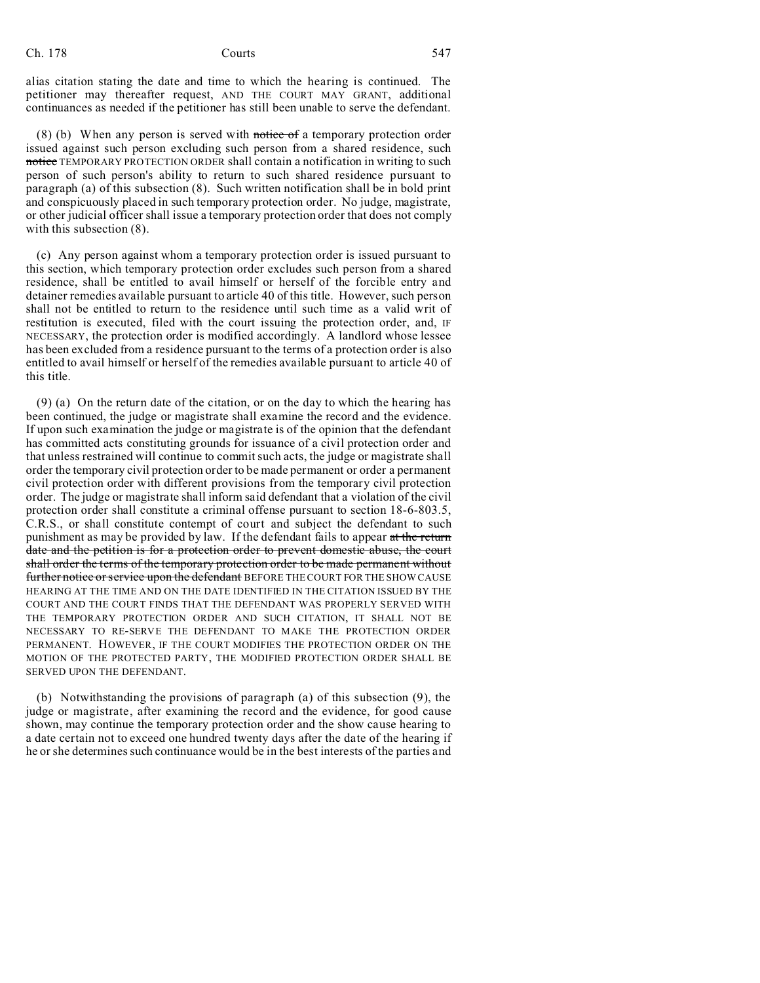alias citation stating the date and time to which the hearing is continued. The petitioner may thereafter request, AND THE COURT MAY GRANT, additional continuances as needed if the petitioner has still been unable to serve the defendant.

(8) (b) When any person is served with notice of a temporary protection order issued against such person excluding such person from a shared residence, such notice TEMPORARY PROTECTION ORDER shall contain a notification in writing to such person of such person's ability to return to such shared residence pursuant to paragraph (a) of this subsection (8). Such written notification shall be in bold print and conspicuously placed in such temporary protection order. No judge, magistrate, or other judicial officer shall issue a temporary protection order that does not comply with this subsection  $(8)$ .

(c) Any person against whom a temporary protection order is issued pursuant to this section, which temporary protection order excludes such person from a shared residence, shall be entitled to avail himself or herself of the forcible entry and detainer remedies available pursuant to article 40 of this title. However, such person shall not be entitled to return to the residence until such time as a valid writ of restitution is executed, filed with the court issuing the protection order, and, IF NECESSARY, the protection order is modified accordingly. A landlord whose lessee has been excluded from a residence pursuant to the terms of a protection order is also entitled to avail himself or herself of the remedies available pursuant to article 40 of this title.

(9) (a) On the return date of the citation, or on the day to which the hearing has been continued, the judge or magistrate shall examine the record and the evidence. If upon such examination the judge or magistrate is of the opinion that the defendant has committed acts constituting grounds for issuance of a civil protection order and that unless restrained will continue to commit such acts, the judge or magistrate shall order the temporary civil protection order to be made permanent or order a permanent civil protection order with different provisions from the temporary civil protection order. The judge or magistrate shall inform said defendant that a violation of the civil protection order shall constitute a criminal offense pursuant to section 18-6-803.5, C.R.S., or shall constitute contempt of court and subject the defendant to such punishment as may be provided by law. If the defendant fails to appear at the return date and the petition is for a protection order to prevent domestic abuse, the court shall order the terms of the temporary protection order to be made permanent without further notice or service upon the defendant BEFORE THE COURT FOR THE SHOW CAUSE HEARING AT THE TIME AND ON THE DATE IDENTIFIED IN THE CITATION ISSUED BY THE COURT AND THE COURT FINDS THAT THE DEFENDANT WAS PROPERLY SERVED WITH THE TEMPORARY PROTECTION ORDER AND SUCH CITATION, IT SHALL NOT BE NECESSARY TO RE-SERVE THE DEFENDANT TO MAKE THE PROTECTION ORDER PERMANENT. HOWEVER, IF THE COURT MODIFIES THE PROTECTION ORDER ON THE MOTION OF THE PROTECTED PARTY, THE MODIFIED PROTECTION ORDER SHALL BE SERVED UPON THE DEFENDANT.

(b) Notwithstanding the provisions of paragraph (a) of this subsection (9), the judge or magistrate, after examining the record and the evidence, for good cause shown, may continue the temporary protection order and the show cause hearing to a date certain not to exceed one hundred twenty days after the date of the hearing if he or she determines such continuance would be in the best interests of the parties and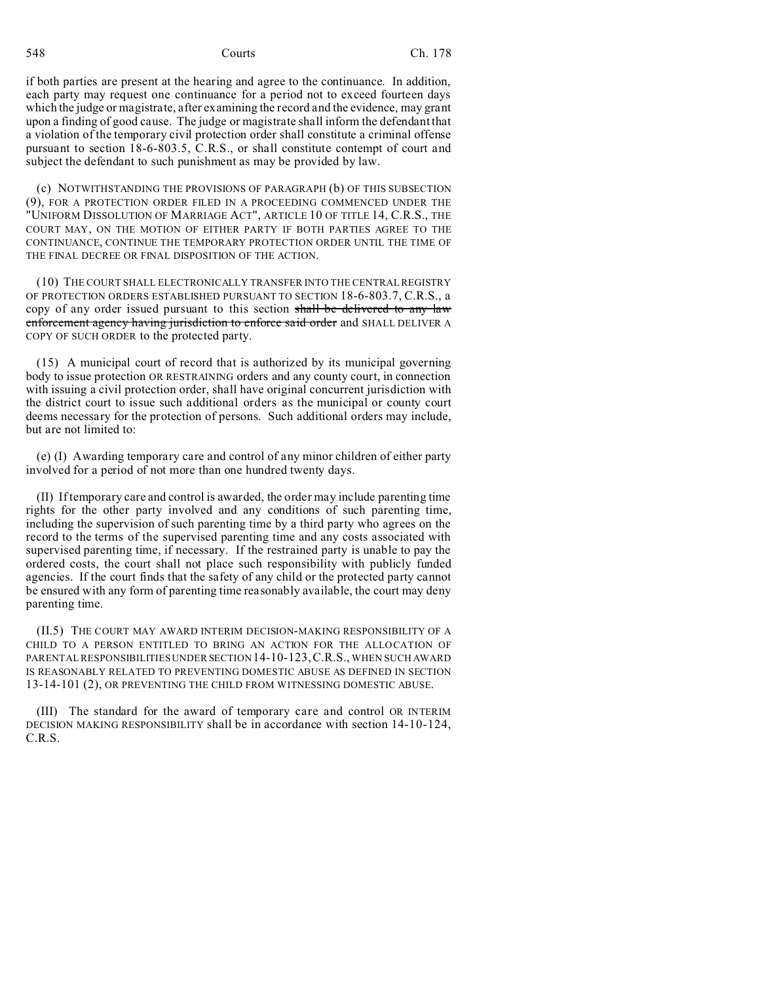if both parties are present at the hearing and agree to the continuance. In addition, each party may request one continuance for a period not to exceed fourteen days which the judge or magistrate, after examining the record and the evidence, may grant upon a finding of good cause. The judge or magistrate shall inform the defendant that a violation of the temporary civil protection order shall constitute a criminal offense pursuant to section 18-6-803.5, C.R.S., or shall constitute contempt of court and subject the defendant to such punishment as may be provided by law.

(c) NOTWITHSTANDING THE PROVISIONS OF PARAGRAPH (b) OF THIS SUBSECTION (9), FOR A PROTECTION ORDER FILED IN A PROCEEDING COMMENCED UNDER THE "UNIFORM DISSOLUTION OF MARRIAGE ACT", ARTICLE 10 OF TITLE 14, C.R.S., THE COURT MAY, ON THE MOTION OF EITHER PARTY IF BOTH PARTIES AGREE TO THE CONTINUANCE, CONTINUE THE TEMPORARY PROTECTION ORDER UNTIL THE TIME OF THE FINAL DECREE OR FINAL DISPOSITION OF THE ACTION.

(10) THE COURT SHALL ELECTRONICALLY TRANSFER INTO THE CENTRAL REGISTRY OF PROTECTION ORDERS ESTABLISHED PURSUANT TO SECTION 18-6-803.7, C.R.S., a copy of any order issued pursuant to this section shall be delivered to any law enforcement agency having jurisdiction to enforce said order and SHALL DELIVER A COPY OF SUCH ORDER to the protected party.

(15) A municipal court of record that is authorized by its municipal governing body to issue protection OR RESTRAINING orders and any county court, in connection with issuing a civil protection order, shall have original concurrent jurisdiction with the district court to issue such additional orders as the municipal or county court deems necessary for the protection of persons. Such additional orders may include, but are not limited to:

(e) (I) Awarding temporary care and control of any minor children of either party involved for a period of not more than one hundred twenty days.

(II) If temporary care and control is awarded, the order may include parenting time rights for the other party involved and any conditions of such parenting time, including the supervision of such parenting time by a third party who agrees on the record to the terms of the supervised parenting time and any costs associated with supervised parenting time, if necessary. If the restrained party is unable to pay the ordered costs, the court shall not place such responsibility with publicly funded agencies. If the court finds that the safety of any child or the protected party cannot be ensured with any form of parenting time reasonably available, the court may deny parenting time.

(II.5) THE COURT MAY AWARD INTERIM DECISION-MAKING RESPONSIBILITY OF A CHILD TO A PERSON ENTITLED TO BRING AN ACTION FOR THE ALLOCATION OF PARENTAL RESPONSIBILITIES UNDER SECTION 14-10-123,C.R.S., WHEN SUCH AWARD IS REASONABLY RELATED TO PREVENTING DOMESTIC ABUSE AS DEFINED IN SECTION 13-14-101 (2), OR PREVENTING THE CHILD FROM WITNESSING DOMESTIC ABUSE.

(III) The standard for the award of temporary care and control OR INTERIM DECISION MAKING RESPONSIBILITY shall be in accordance with section 14-10-124, C.R.S.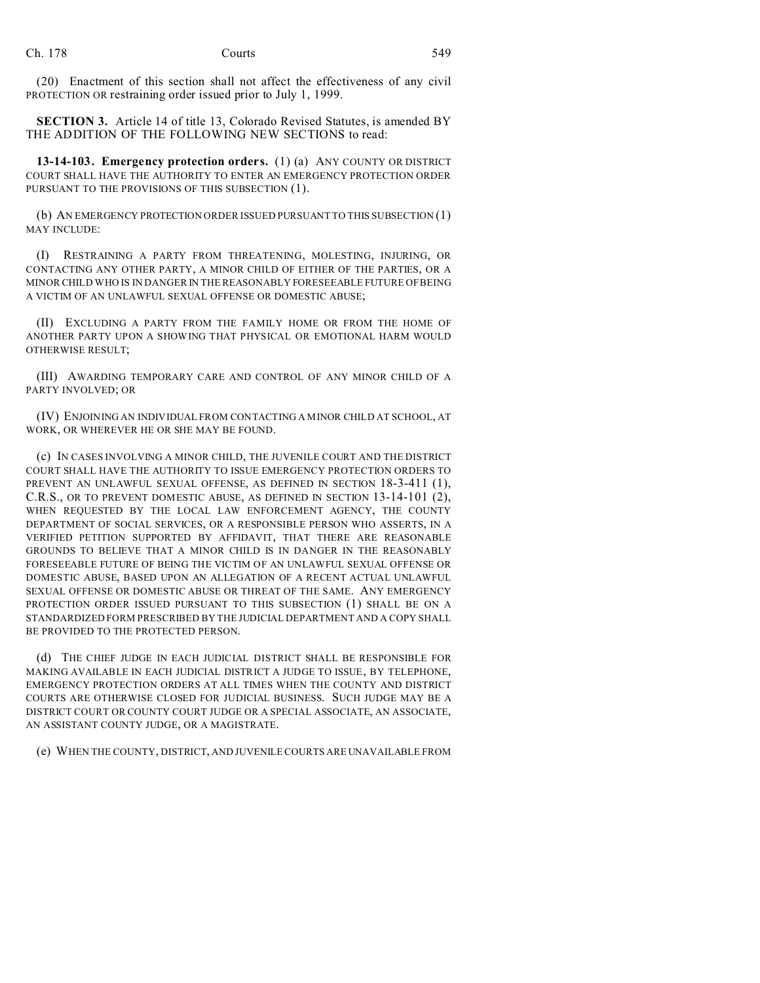(20) Enactment of this section shall not affect the effectiveness of any civil PROTECTION OR restraining order issued prior to July 1, 1999.

**SECTION 3.** Article 14 of title 13, Colorado Revised Statutes, is amended BY THE ADDITION OF THE FOLLOWING NEW SECTIONS to read:

**13-14-103. Emergency protection orders.** (1) (a) ANY COUNTY OR DISTRICT COURT SHALL HAVE THE AUTHORITY TO ENTER AN EMERGENCY PROTECTION ORDER PURSUANT TO THE PROVISIONS OF THIS SUBSECTION (1).

(b) AN EMERGENCY PROTECTION ORDER ISSUED PURSUANT TO THIS SUBSECTION (1) MAY INCLUDE:

(I) RESTRAINING A PARTY FROM THREATENING, MOLESTING, INJURING, OR CONTACTING ANY OTHER PARTY, A MINOR CHILD OF EITHER OF THE PARTIES, OR A MINOR CHILD WHO IS IN DANGER IN THE REASONABLY FORESEEABLE FUTURE OF BEING A VICTIM OF AN UNLAWFUL SEXUAL OFFENSE OR DOMESTIC ABUSE;

(II) EXCLUDING A PARTY FROM THE FAMILY HOME OR FROM THE HOME OF ANOTHER PARTY UPON A SHOWING THAT PHYSICAL OR EMOTIONAL HARM WOULD OTHERWISE RESULT;

(III) AWARDING TEMPORARY CARE AND CONTROL OF ANY MINOR CHILD OF A PARTY INVOLVED; OR

(IV) ENJOINING AN INDIVIDUAL FROM CONTACTING A MINOR CHILD AT SCHOOL, AT WORK, OR WHEREVER HE OR SHE MAY BE FOUND.

(c) IN CASES INVOLVING A MINOR CHILD, THE JUVENILE COURT AND THE DISTRICT COURT SHALL HAVE THE AUTHORITY TO ISSUE EMERGENCY PROTECTION ORDERS TO PREVENT AN UNLAWFUL SEXUAL OFFENSE, AS DEFINED IN SECTION 18-3-411 (1), C.R.S., OR TO PREVENT DOMESTIC ABUSE, AS DEFINED IN SECTION 13-14-101 (2), WHEN REQUESTED BY THE LOCAL LAW ENFORCEMENT AGENCY, THE COUNTY DEPARTMENT OF SOCIAL SERVICES, OR A RESPONSIBLE PERSON WHO ASSERTS, IN A VERIFIED PETITION SUPPORTED BY AFFIDAVIT, THAT THERE ARE REASONABLE GROUNDS TO BELIEVE THAT A MINOR CHILD IS IN DANGER IN THE REASONABLY FORESEEABLE FUTURE OF BEING THE VICTIM OF AN UNLAWFUL SEXUAL OFFENSE OR DOMESTIC ABUSE, BASED UPON AN ALLEGATION OF A RECENT ACTUAL UNLAWFUL SEXUAL OFFENSE OR DOMESTIC ABUSE OR THREAT OF THE SAME. ANY EMERGENCY PROTECTION ORDER ISSUED PURSUANT TO THIS SUBSECTION (1) SHALL BE ON A STANDARDIZED FORM PRESCRIBED BY THE JUDICIAL DEPARTMENT AND A COPY SHALL BE PROVIDED TO THE PROTECTED PERSON.

(d) THE CHIEF JUDGE IN EACH JUDICIAL DISTRICT SHALL BE RESPONSIBLE FOR MAKING AVAILABLE IN EACH JUDICIAL DISTRICT A JUDGE TO ISSUE, BY TELEPHONE, EMERGENCY PROTECTION ORDERS AT ALL TIMES WHEN THE COUNTY AND DISTRICT COURTS ARE OTHERWISE CLOSED FOR JUDICIAL BUSINESS. SUCH JUDGE MAY BE A DISTRICT COURT OR COUNTY COURT JUDGE OR A SPECIAL ASSOCIATE, AN ASSOCIATE, AN ASSISTANT COUNTY JUDGE, OR A MAGISTRATE.

(e) WHEN THE COUNTY, DISTRICT, AND JUVENILE COURTS ARE UNAVAILABLE FROM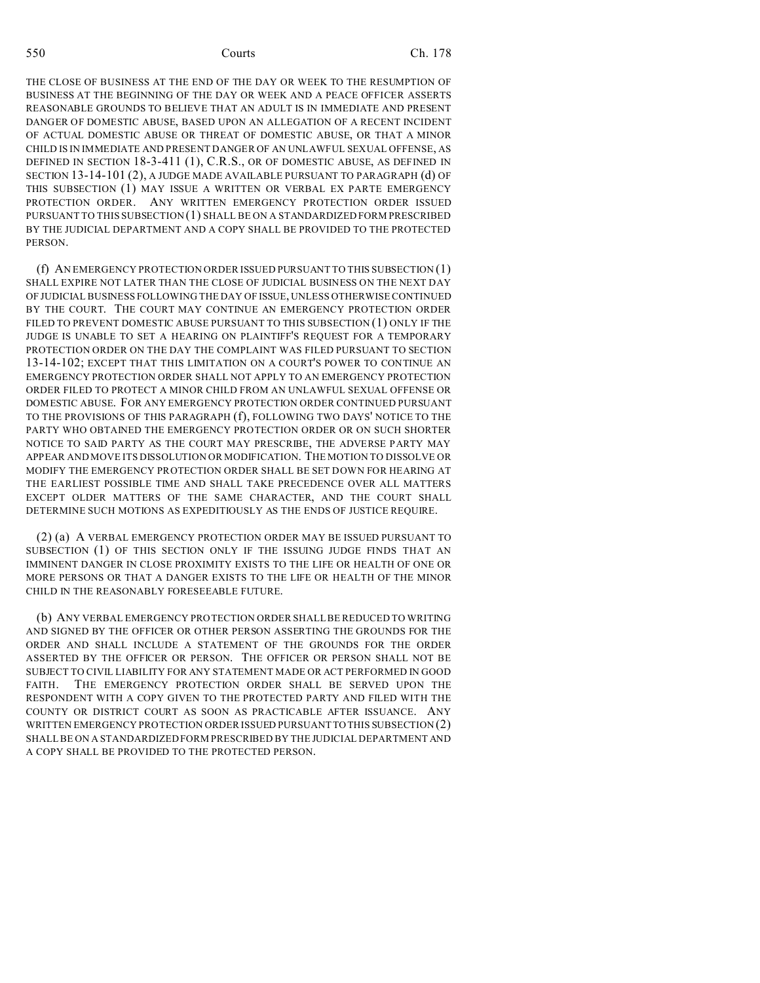THE CLOSE OF BUSINESS AT THE END OF THE DAY OR WEEK TO THE RESUMPTION OF BUSINESS AT THE BEGINNING OF THE DAY OR WEEK AND A PEACE OFFICER ASSERTS REASONABLE GROUNDS TO BELIEVE THAT AN ADULT IS IN IMMEDIATE AND PRESENT DANGER OF DOMESTIC ABUSE, BASED UPON AN ALLEGATION OF A RECENT INCIDENT OF ACTUAL DOMESTIC ABUSE OR THREAT OF DOMESTIC ABUSE, OR THAT A MINOR CHILD IS IN IMMEDIATE AND PRESENT DANGER OF AN UNLAWFUL SEXUAL OFFENSE, AS DEFINED IN SECTION 18-3-411 (1), C.R.S., OR OF DOMESTIC ABUSE, AS DEFINED IN SECTION 13-14-101 (2), A JUDGE MADE AVAILABLE PURSUANT TO PARAGRAPH (d) OF THIS SUBSECTION (1) MAY ISSUE A WRITTEN OR VERBAL EX PARTE EMERGENCY PROTECTION ORDER. ANY WRITTEN EMERGENCY PROTECTION ORDER ISSUED PURSUANT TO THIS SUBSECTION (1) SHALL BE ON A STANDARDIZED FORM PRESCRIBED BY THE JUDICIAL DEPARTMENT AND A COPY SHALL BE PROVIDED TO THE PROTECTED PERSON.

(f) AN EMERGENCY PROTECTION ORDER ISSUED PURSUANT TO THIS SUBSECTION (1) SHALL EXPIRE NOT LATER THAN THE CLOSE OF JUDICIAL BUSINESS ON THE NEXT DAY OF JUDICIAL BUSINESS FOLLOWING THE DAY OF ISSUE, UNLESS OTHERWISE CONTINUED BY THE COURT. THE COURT MAY CONTINUE AN EMERGENCY PROTECTION ORDER FILED TO PREVENT DOMESTIC ABUSE PURSUANT TO THIS SUBSECTION (1) ONLY IF THE JUDGE IS UNABLE TO SET A HEARING ON PLAINTIFF'S REQUEST FOR A TEMPORARY PROTECTION ORDER ON THE DAY THE COMPLAINT WAS FILED PURSUANT TO SECTION 13-14-102; EXCEPT THAT THIS LIMITATION ON A COURT'S POWER TO CONTINUE AN EMERGENCY PROTECTION ORDER SHALL NOT APPLY TO AN EMERGENCY PROTECTION ORDER FILED TO PROTECT A MINOR CHILD FROM AN UNLAWFUL SEXUAL OFFENSE OR DOMESTIC ABUSE. FOR ANY EMERGENCY PROTECTION ORDER CONTINUED PURSUANT TO THE PROVISIONS OF THIS PARAGRAPH (f), FOLLOWING TWO DAYS' NOTICE TO THE PARTY WHO OBTAINED THE EMERGENCY PROTECTION ORDER OR ON SUCH SHORTER NOTICE TO SAID PARTY AS THE COURT MAY PRESCRIBE, THE ADVERSE PARTY MAY APPEAR AND MOVE ITS DISSOLUTION OR MODIFICATION. THE MOTION TO DISSOLVE OR MODIFY THE EMERGENCY PROTECTION ORDER SHALL BE SET DOWN FOR HEARING AT THE EARLIEST POSSIBLE TIME AND SHALL TAKE PRECEDENCE OVER ALL MATTERS EXCEPT OLDER MATTERS OF THE SAME CHARACTER, AND THE COURT SHALL DETERMINE SUCH MOTIONS AS EXPEDITIOUSLY AS THE ENDS OF JUSTICE REQUIRE.

(2) (a) A VERBAL EMERGENCY PROTECTION ORDER MAY BE ISSUED PURSUANT TO SUBSECTION (1) OF THIS SECTION ONLY IF THE ISSUING JUDGE FINDS THAT AN IMMINENT DANGER IN CLOSE PROXIMITY EXISTS TO THE LIFE OR HEALTH OF ONE OR MORE PERSONS OR THAT A DANGER EXISTS TO THE LIFE OR HEALTH OF THE MINOR CHILD IN THE REASONABLY FORESEEABLE FUTURE.

(b) ANY VERBAL EMERGENCY PROTECTION ORDER SHALL BE REDUCED TO WRITING AND SIGNED BY THE OFFICER OR OTHER PERSON ASSERTING THE GROUNDS FOR THE ORDER AND SHALL INCLUDE A STATEMENT OF THE GROUNDS FOR THE ORDER ASSERTED BY THE OFFICER OR PERSON. THE OFFICER OR PERSON SHALL NOT BE SUBJECT TO CIVIL LIABILITY FOR ANY STATEMENT MADE OR ACT PERFORMED IN GOOD FAITH. THE EMERGENCY PROTECTION ORDER SHALL BE SERVED UPON THE RESPONDENT WITH A COPY GIVEN TO THE PROTECTED PARTY AND FILED WITH THE COUNTY OR DISTRICT COURT AS SOON AS PRACTICABLE AFTER ISSUANCE. ANY WRITTEN EMERGENCY PROTECTION ORDER ISSUED PURSUANT TO THIS SUBSECTION (2) SHALL BE ON A STANDARDIZED FORM PRESCRIBED BY THE JUDICIAL DEPARTMENT AND A COPY SHALL BE PROVIDED TO THE PROTECTED PERSON.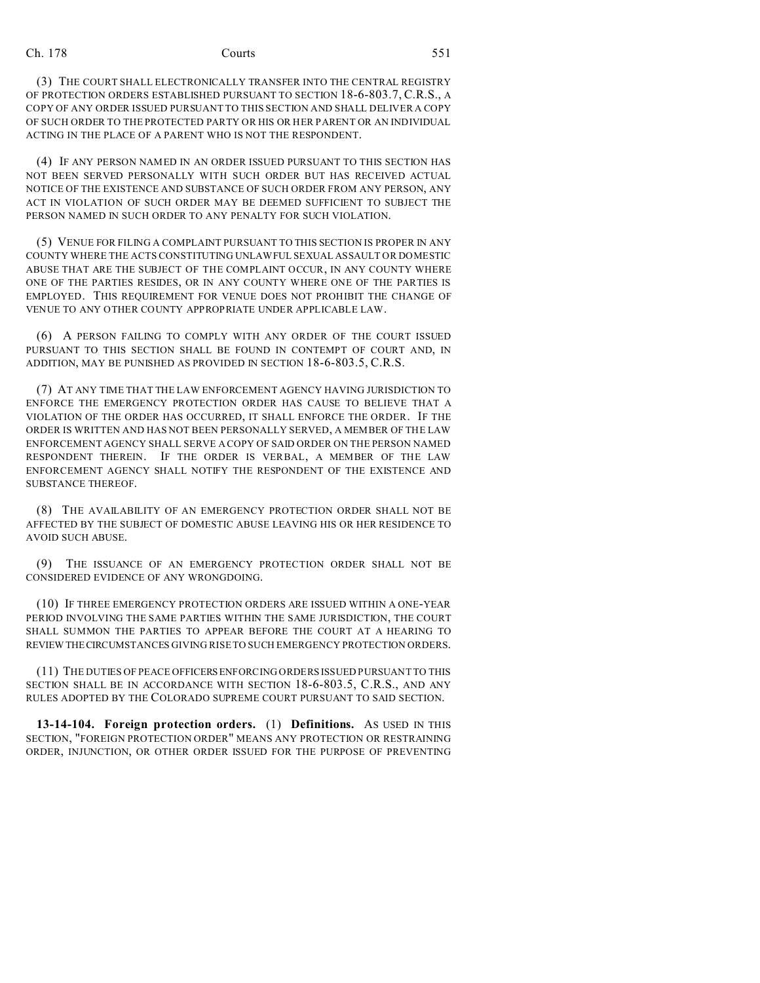(3) THE COURT SHALL ELECTRONICALLY TRANSFER INTO THE CENTRAL REGISTRY OF PROTECTION ORDERS ESTABLISHED PURSUANT TO SECTION 18-6-803.7, C.R.S., A COPY OF ANY ORDER ISSUED PURSUANT TO THIS SECTION AND SHALL DELIVER A COPY OF SUCH ORDER TO THE PROTECTED PARTY OR HIS OR HER PARENT OR AN INDIVIDUAL ACTING IN THE PLACE OF A PARENT WHO IS NOT THE RESPONDENT.

(4) IF ANY PERSON NAMED IN AN ORDER ISSUED PURSUANT TO THIS SECTION HAS NOT BEEN SERVED PERSONALLY WITH SUCH ORDER BUT HAS RECEIVED ACTUAL NOTICE OF THE EXISTENCE AND SUBSTANCE OF SUCH ORDER FROM ANY PERSON, ANY ACT IN VIOLATION OF SUCH ORDER MAY BE DEEMED SUFFICIENT TO SUBJECT THE PERSON NAMED IN SUCH ORDER TO ANY PENALTY FOR SUCH VIOLATION.

(5) VENUE FOR FILING A COMPLAINT PURSUANT TO THIS SECTION IS PROPER IN ANY COUNTY WHERE THE ACTS CONSTITUTING UNLAWFUL SEXUAL ASSAULT OR DOMESTIC ABUSE THAT ARE THE SUBJECT OF THE COMPLAINT OCCUR, IN ANY COUNTY WHERE ONE OF THE PARTIES RESIDES, OR IN ANY COUNTY WHERE ONE OF THE PARTIES IS EMPLOYED. THIS REQUIREMENT FOR VENUE DOES NOT PROHIBIT THE CHANGE OF VENUE TO ANY OTHER COUNTY APPROPRIATE UNDER APPLICABLE LAW.

(6) A PERSON FAILING TO COMPLY WITH ANY ORDER OF THE COURT ISSUED PURSUANT TO THIS SECTION SHALL BE FOUND IN CONTEMPT OF COURT AND, IN ADDITION, MAY BE PUNISHED AS PROVIDED IN SECTION 18-6-803.5, C.R.S.

(7) AT ANY TIME THAT THE LAW ENFORCEMENT AGENCY HAVING JURISDICTION TO ENFORCE THE EMERGENCY PROTECTION ORDER HAS CAUSE TO BELIEVE THAT A VIOLATION OF THE ORDER HAS OCCURRED, IT SHALL ENFORCE THE ORDER. IF THE ORDER IS WRITTEN AND HAS NOT BEEN PERSONALLY SERVED, A MEMBER OF THE LAW ENFORCEMENT AGENCY SHALL SERVE A COPY OF SAID ORDER ON THE PERSON NAMED RESPONDENT THEREIN. IF THE ORDER IS VERBAL, A MEMBER OF THE LAW ENFORCEMENT AGENCY SHALL NOTIFY THE RESPONDENT OF THE EXISTENCE AND SUBSTANCE THEREOF.

(8) THE AVAILABILITY OF AN EMERGENCY PROTECTION ORDER SHALL NOT BE AFFECTED BY THE SUBJECT OF DOMESTIC ABUSE LEAVING HIS OR HER RESIDENCE TO AVOID SUCH ABUSE.

(9) THE ISSUANCE OF AN EMERGENCY PROTECTION ORDER SHALL NOT BE CONSIDERED EVIDENCE OF ANY WRONGDOING.

(10) IF THREE EMERGENCY PROTECTION ORDERS ARE ISSUED WITHIN A ONE-YEAR PERIOD INVOLVING THE SAME PARTIES WITHIN THE SAME JURISDICTION, THE COURT SHALL SUMMON THE PARTIES TO APPEAR BEFORE THE COURT AT A HEARING TO REVIEWTHECIRCUMSTANCES GIVING RISE TO SUCH EMERGENCY PROTECTION ORDERS.

(11) THE DUTIES OF PEACE OFFICERS ENFORCING ORDERS ISSUED PURSUANT TO THIS SECTION SHALL BE IN ACCORDANCE WITH SECTION 18-6-803.5, C.R.S., AND ANY RULES ADOPTED BY THE COLORADO SUPREME COURT PURSUANT TO SAID SECTION.

**13-14-104. Foreign protection orders.** (1) **Definitions.** AS USED IN THIS SECTION, "FOREIGN PROTECTION ORDER" MEANS ANY PROTECTION OR RESTRAINING ORDER, INJUNCTION, OR OTHER ORDER ISSUED FOR THE PURPOSE OF PREVENTING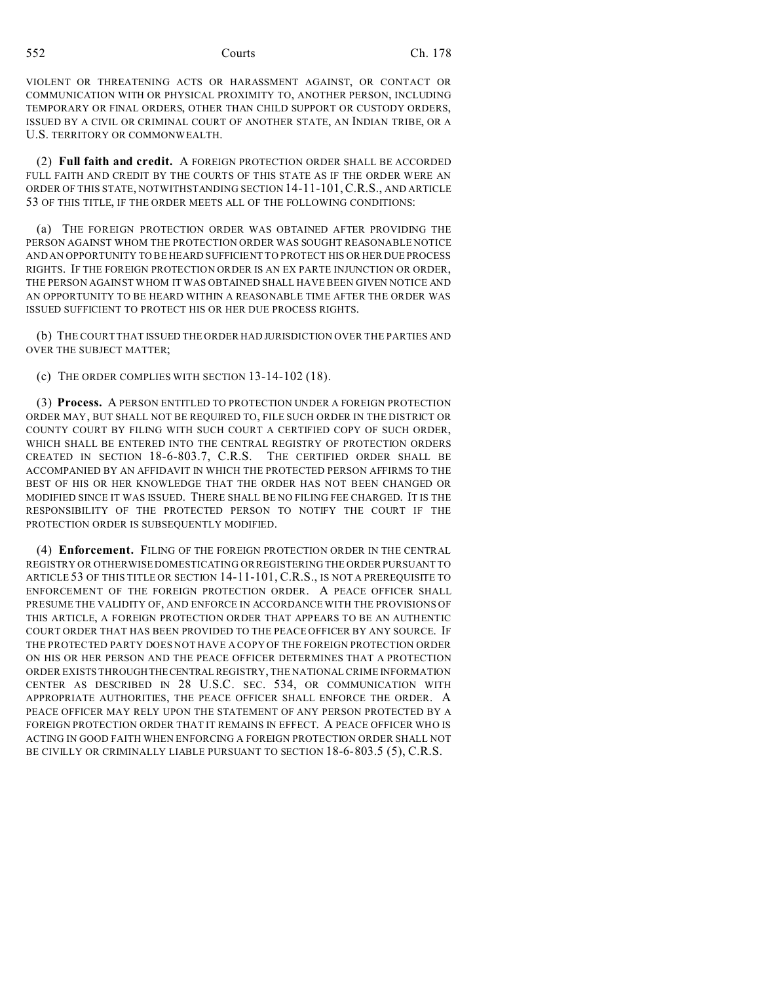VIOLENT OR THREATENING ACTS OR HARASSMENT AGAINST, OR CONTACT OR COMMUNICATION WITH OR PHYSICAL PROXIMITY TO, ANOTHER PERSON, INCLUDING TEMPORARY OR FINAL ORDERS, OTHER THAN CHILD SUPPORT OR CUSTODY ORDERS, ISSUED BY A CIVIL OR CRIMINAL COURT OF ANOTHER STATE, AN INDIAN TRIBE, OR A U.S. TERRITORY OR COMMONWEALTH.

(2) **Full faith and credit.** A FOREIGN PROTECTION ORDER SHALL BE ACCORDED FULL FAITH AND CREDIT BY THE COURTS OF THIS STATE AS IF THE ORDER WERE AN ORDER OF THIS STATE, NOTWITHSTANDING SECTION 14-11-101,C.R.S., AND ARTICLE 53 OF THIS TITLE, IF THE ORDER MEETS ALL OF THE FOLLOWING CONDITIONS:

(a) THE FOREIGN PROTECTION ORDER WAS OBTAINED AFTER PROVIDING THE PERSON AGAINST WHOM THE PROTECTION ORDER WAS SOUGHT REASONABLE NOTICE AND AN OPPORTUNITY TO BE HEARD SUFFICIENT TO PROTECT HIS OR HER DUE PROCESS RIGHTS. IF THE FOREIGN PROTECTION ORDER IS AN EX PARTE INJUNCTION OR ORDER, THE PERSON AGAINST WHOM IT WAS OBTAINED SHALL HAVE BEEN GIVEN NOTICE AND AN OPPORTUNITY TO BE HEARD WITHIN A REASONABLE TIME AFTER THE ORDER WAS ISSUED SUFFICIENT TO PROTECT HIS OR HER DUE PROCESS RIGHTS.

(b) THE COURT THAT ISSUED THE ORDER HAD JURISDICTION OVER THE PARTIES AND OVER THE SUBJECT MATTER;

(c) THE ORDER COMPLIES WITH SECTION 13-14-102 (18).

(3) **Process.** A PERSON ENTITLED TO PROTECTION UNDER A FOREIGN PROTECTION ORDER MAY, BUT SHALL NOT BE REQUIRED TO, FILE SUCH ORDER IN THE DISTRICT OR COUNTY COURT BY FILING WITH SUCH COURT A CERTIFIED COPY OF SUCH ORDER, WHICH SHALL BE ENTERED INTO THE CENTRAL REGISTRY OF PROTECTION ORDERS CREATED IN SECTION 18-6-803.7, C.R.S. THE CERTIFIED ORDER SHALL BE ACCOMPANIED BY AN AFFIDAVIT IN WHICH THE PROTECTED PERSON AFFIRMS TO THE BEST OF HIS OR HER KNOWLEDGE THAT THE ORDER HAS NOT BEEN CHANGED OR MODIFIED SINCE IT WAS ISSUED. THERE SHALL BE NO FILING FEE CHARGED. IT IS THE RESPONSIBILITY OF THE PROTECTED PERSON TO NOTIFY THE COURT IF THE PROTECTION ORDER IS SUBSEQUENTLY MODIFIED.

(4) **Enforcement.** FILING OF THE FOREIGN PROTECTION ORDER IN THE CENTRAL REGISTRY OR OTHERWISE DOMESTICATING OR REGISTERING THE ORDER PURSUANT TO ARTICLE 53 OF THIS TITLE OR SECTION 14-11-101, C.R.S., IS NOT A PREREQUISITE TO ENFORCEMENT OF THE FOREIGN PROTECTION ORDER. A PEACE OFFICER SHALL PRESUME THE VALIDITY OF, AND ENFORCE IN ACCORDANCE WITH THE PROVISIONS OF THIS ARTICLE, A FOREIGN PROTECTION ORDER THAT APPEARS TO BE AN AUTHENTIC COURT ORDER THAT HAS BEEN PROVIDED TO THE PEACE OFFICER BY ANY SOURCE. IF THE PROTECTED PARTY DOES NOT HAVE A COPY OF THE FOREIGN PROTECTION ORDER ON HIS OR HER PERSON AND THE PEACE OFFICER DETERMINES THAT A PROTECTION ORDER EXISTS THROUGHTHECENTRAL REGISTRY, THE NATIONAL CRIME INFORMATION CENTER AS DESCRIBED IN 28 U.S.C. SEC. 534, OR COMMUNICATION WITH APPROPRIATE AUTHORITIES, THE PEACE OFFICER SHALL ENFORCE THE ORDER. A PEACE OFFICER MAY RELY UPON THE STATEMENT OF ANY PERSON PROTECTED BY A FOREIGN PROTECTION ORDER THAT IT REMAINS IN EFFECT. A PEACE OFFICER WHO IS ACTING IN GOOD FAITH WHEN ENFORCING A FOREIGN PROTECTION ORDER SHALL NOT BE CIVILLY OR CRIMINALLY LIABLE PURSUANT TO SECTION 18-6-803.5 (5), C.R.S.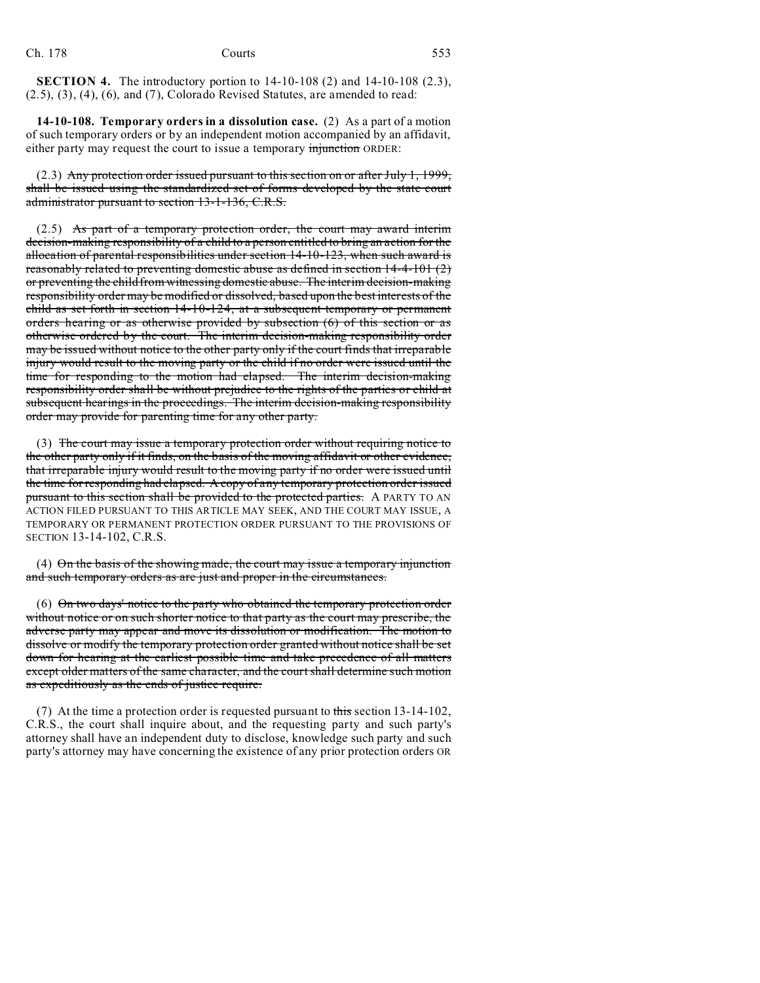**SECTION 4.** The introductory portion to 14-10-108 (2) and 14-10-108 (2.3), (2.5), (3), (4), (6), and (7), Colorado Revised Statutes, are amended to read:

**14-10-108. Temporary orders in a dissolution case.** (2) As a part of a motion of such temporary orders or by an independent motion accompanied by an affidavit, either party may request the court to issue a temporary injunction ORDER:

(2.3) Any protection order issued pursuant to this section on or after July 1, 1999, shall be issued using the standardized set of forms developed by the state court administrator pursuant to section 13-1-136, C.R.S.

 $(2.5)$  As part of a temporary protection order, the court may award interim decision-making responsibility of a child to a person entitled to bring an action for the allocation of parental responsibilities under section 14-10-123, when such award is reasonably related to preventing domestic abuse as defined in section 14-4-101 (2) or preventing the child from witnessing domestic abuse. The interim decision-making responsibility order may be modified or dissolved, based upon the best interests of the child as set forth in section 14-10-124, at a subsequent temporary or permanent orders hearing or as otherwise provided by subsection (6) of this section or as otherwise ordered by the court. The interim decision-making responsibility order may be issued without notice to the other party only if the court finds that irreparable injury would result to the moving party or the child if no order were issued until the time for responding to the motion had elapsed. The interim decision-making responsibility order shall be without prejudice to the rights of the parties or child at subsequent hearings in the proceedings. The interim decision-making responsibility order may provide for parenting time for any other party.

(3) The court may issue a temporary protection order without requiring notice to the other party only if it finds, on the basis of the moving affidavit or other evidence, that irreparable injury would result to the moving party if no order were issued until the time for responding had elapsed. A copy of any temporary protection order issued pursuant to this section shall be provided to the protected parties. A PARTY TO AN ACTION FILED PURSUANT TO THIS ARTICLE MAY SEEK, AND THE COURT MAY ISSUE, A TEMPORARY OR PERMANENT PROTECTION ORDER PURSUANT TO THE PROVISIONS OF SECTION 13-14-102, C.R.S.

 $(4)$  On the basis of the showing made, the court may issue a temporary injunction and such temporary orders as are just and proper in the circumstances.

(6) On two days' notice to the party who obtained the temporary protection order without notice or on such shorter notice to that party as the court may prescribe, the adverse party may appear and move its dissolution or modification. The motion to dissolve or modify the temporary protection order granted without notice shall be set down for hearing at the earliest possible time and take precedence of all matters except older matters of the same character, and the court shall determine such motion as expeditiously as the ends of justice require.

(7) At the time a protection order is requested pursuant to this section 13-14-102, C.R.S., the court shall inquire about, and the requesting party and such party's attorney shall have an independent duty to disclose, knowledge such party and such party's attorney may have concerning the existence of any prior protection orders OR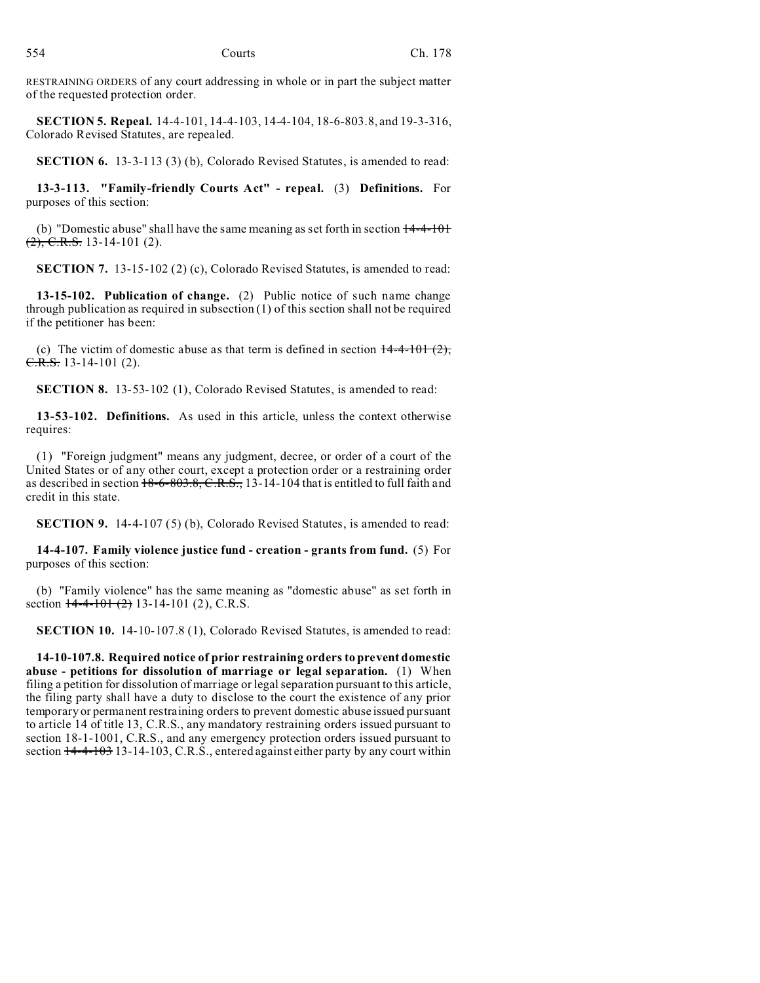RESTRAINING ORDERS of any court addressing in whole or in part the subject matter of the requested protection order.

**SECTION 5. Repeal.** 14-4-101, 14-4-103, 14-4-104, 18-6-803.8, and 19-3-316, Colorado Revised Statutes, are repealed.

**SECTION 6.** 13-3-113 (3) (b), Colorado Revised Statutes, is amended to read:

**13-3-113. "Family-friendly Courts Act" - repeal.** (3) **Definitions.** For purposes of this section:

(b) "Domestic abuse" shall have the same meaning as set forth in section  $14-4-101$  $(2)$ , C.R.S. 13-14-101 (2).

**SECTION 7.** 13-15-102 (2) (c), Colorado Revised Statutes, is amended to read:

**13-15-102. Publication of change.** (2) Public notice of such name change through publication as required in subsection (1) of this section shall not be required if the petitioner has been:

(c) The victim of domestic abuse as that term is defined in section  $14-4-101$  (2), C.R.S. 13-14-101 (2).

**SECTION 8.** 13-53-102 (1), Colorado Revised Statutes, is amended to read:

**13-53-102. Definitions.** As used in this article, unless the context otherwise requires:

(1) "Foreign judgment" means any judgment, decree, or order of a court of the United States or of any other court, except a protection order or a restraining order as described in section 18-6-803.8, C.R.S., 13-14-104 that is entitled to full faith and credit in this state.

**SECTION 9.** 14-4-107 (5) (b), Colorado Revised Statutes, is amended to read:

**14-4-107. Family violence justice fund - creation - grants from fund.** (5) For purposes of this section:

(b) "Family violence" has the same meaning as "domestic abuse" as set forth in section  $14-4-101$  (2) 13-14-101 (2), C.R.S.

**SECTION 10.** 14-10-107.8 (1), Colorado Revised Statutes, is amended to read:

**14-10-107.8. Required notice of prior restraining orders to prevent domestic abuse - petitions for dissolution of marriage or legal separation.** (1) When filing a petition for dissolution of marriage or legal separation pursuant to this article, the filing party shall have a duty to disclose to the court the existence of any prior temporary or permanent restraining orders to prevent domestic abuse issued pursuant to article 14 of title 13, C.R.S., any mandatory restraining orders issued pursuant to section 18-1-1001, C.R.S., and any emergency protection orders issued pursuant to section  $14-4-103$  13-14-103, C.R.S., entered against either party by any court within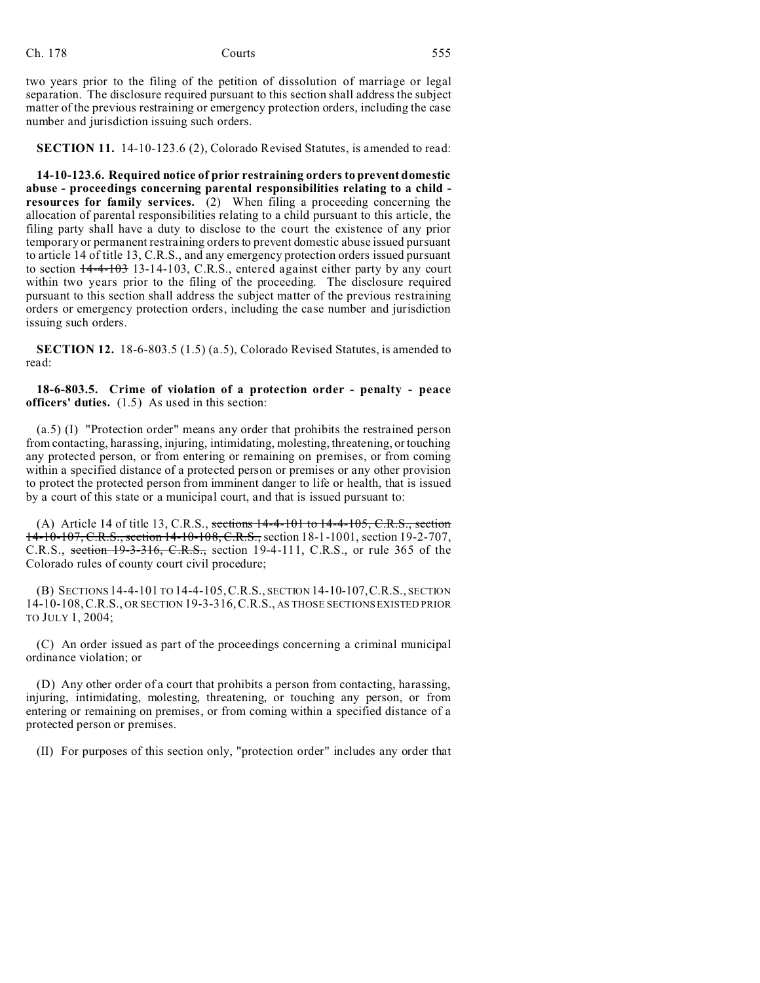two years prior to the filing of the petition of dissolution of marriage or legal separation. The disclosure required pursuant to this section shall address the subject matter of the previous restraining or emergency protection orders, including the case number and jurisdiction issuing such orders.

**SECTION 11.** 14-10-123.6 (2), Colorado Revised Statutes, is amended to read:

**14-10-123.6. Required notice of prior restraining orders to prevent domestic abuse - proceedings concerning parental responsibilities relating to a child resources for family services.** (2) When filing a proceeding concerning the allocation of parental responsibilities relating to a child pursuant to this article, the filing party shall have a duty to disclose to the court the existence of any prior temporary or permanent restraining orders to prevent domestic abuse issued pursuant to article 14 of title 13, C.R.S., and any emergency protection orders issued pursuant to section 14-4-103 13-14-103, C.R.S., entered against either party by any court within two years prior to the filing of the proceeding. The disclosure required pursuant to this section shall address the subject matter of the previous restraining orders or emergency protection orders, including the case number and jurisdiction issuing such orders.

**SECTION 12.** 18-6-803.5 (1.5) (a.5), Colorado Revised Statutes, is amended to read:

**18-6-803.5. Crime of violation of a protection order - penalty - peace officers' duties.** (1.5) As used in this section:

(a.5) (I) "Protection order" means any order that prohibits the restrained person from contacting, harassing, injuring, intimidating, molesting, threatening, or touching any protected person, or from entering or remaining on premises, or from coming within a specified distance of a protected person or premises or any other provision to protect the protected person from imminent danger to life or health, that is issued by a court of this state or a municipal court, and that is issued pursuant to:

(A) Article 14 of title 13, C.R.S., sections  $14-4-101$  to  $14-4-105$ , C.R.S., section 14-10-107, C.R.S., section 14-10-108, C.R.S., section 18-1-1001, section 19-2-707, C.R.S., section 19-3-316, C.R.S., section 19-4-111, C.R.S., or rule 365 of the Colorado rules of county court civil procedure;

(B) SECTIONS 14-4-101 TO 14-4-105,C.R.S., SECTION 14-10-107,C.R.S., SECTION 14-10-108,C.R.S., OR SECTION 19-3-316,C.R.S., AS THOSE SECTIONS EXISTED PRIOR TO JULY 1, 2004;

(C) An order issued as part of the proceedings concerning a criminal municipal ordinance violation; or

(D) Any other order of a court that prohibits a person from contacting, harassing, injuring, intimidating, molesting, threatening, or touching any person, or from entering or remaining on premises, or from coming within a specified distance of a protected person or premises.

(II) For purposes of this section only, "protection order" includes any order that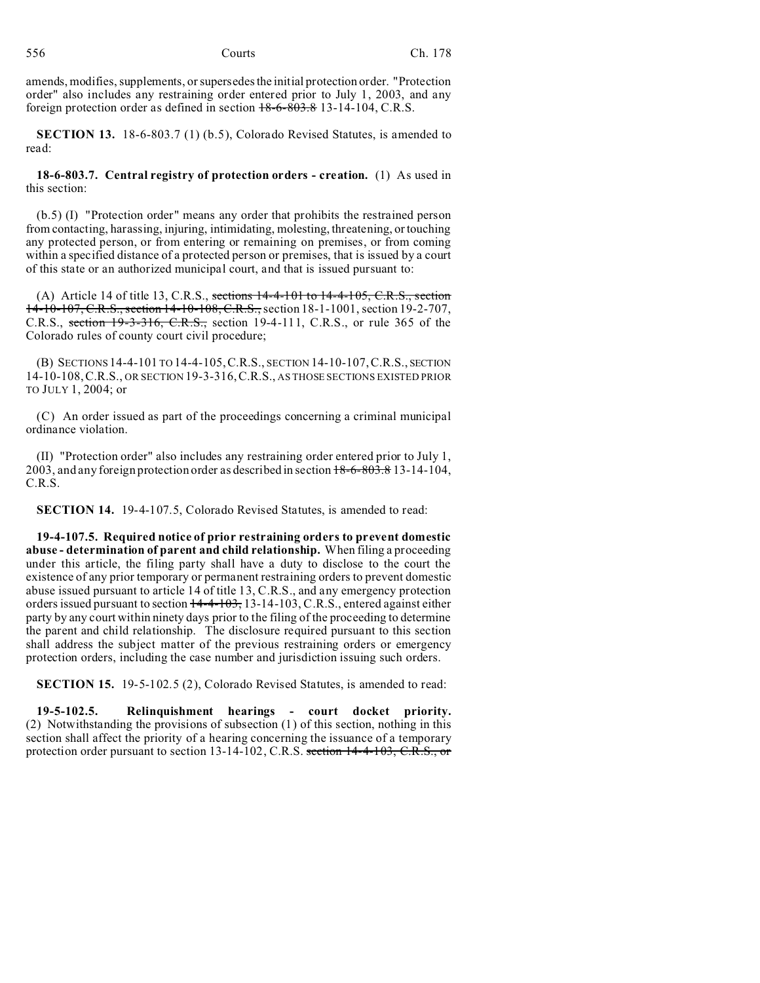amends, modifies, supplements, or supersedes the initial protection order. "Protection order" also includes any restraining order entered prior to July 1, 2003, and any foreign protection order as defined in section 18-6-803.8 13-14-104, C.R.S.

**SECTION 13.** 18-6-803.7 (1) (b.5), Colorado Revised Statutes, is amended to read:

**18-6-803.7. Central registry of protection orders - creation.** (1) As used in this section:

(b.5) (I) "Protection order" means any order that prohibits the restrained person from contacting, harassing, injuring, intimidating, molesting, threatening, or touching any protected person, or from entering or remaining on premises, or from coming within a specified distance of a protected person or premises, that is issued by a court of this state or an authorized municipal court, and that is issued pursuant to:

(A) Article 14 of title 13, C.R.S., sections  $14-4-101$  to  $14-4-105$ , C.R.S., section 14-10-107, C.R.S., section 14-10-108, C.R.S., section 18-1-1001, section 19-2-707, C.R.S., section 19-3-316, C.R.S., section 19-4-111, C.R.S., or rule 365 of the Colorado rules of county court civil procedure;

(B) SECTIONS 14-4-101 TO 14-4-105,C.R.S., SECTION 14-10-107,C.R.S., SECTION 14-10-108,C.R.S., OR SECTION 19-3-316,C.R.S., AS THOSE SECTIONS EXISTED PRIOR TO JULY 1, 2004; or

(C) An order issued as part of the proceedings concerning a criminal municipal ordinance violation.

(II) "Protection order" also includes any restraining order entered prior to July 1, 2003, and any foreign protection order as described in section 18-6-803.8 13-14-104, C.R.S.

**SECTION 14.** 19-4-107.5, Colorado Revised Statutes, is amended to read:

**19-4-107.5. Required notice of prior restraining orders to prevent domestic abuse - determination of parent and child relationship.** When filing a proceeding under this article, the filing party shall have a duty to disclose to the court the existence of any prior temporary or permanent restraining orders to prevent domestic abuse issued pursuant to article 14 of title 13, C.R.S., and any emergency protection orders issued pursuant to section  $14-4-103$ , 13-14-103, C.R.S., entered against either party by any court within ninety days prior to the filing of the proceeding to determine the parent and child relationship. The disclosure required pursuant to this section shall address the subject matter of the previous restraining orders or emergency protection orders, including the case number and jurisdiction issuing such orders.

**SECTION 15.** 19-5-102.5 (2), Colorado Revised Statutes, is amended to read:

**19-5-102.5. Relinquishment hearings - court docket priority.** (2) Notwithstanding the provisions of subsection (1) of this section, nothing in this section shall affect the priority of a hearing concerning the issuance of a temporary protection order pursuant to section 13-14-102, C.R.S. section 14-4-103, C.R.S., or